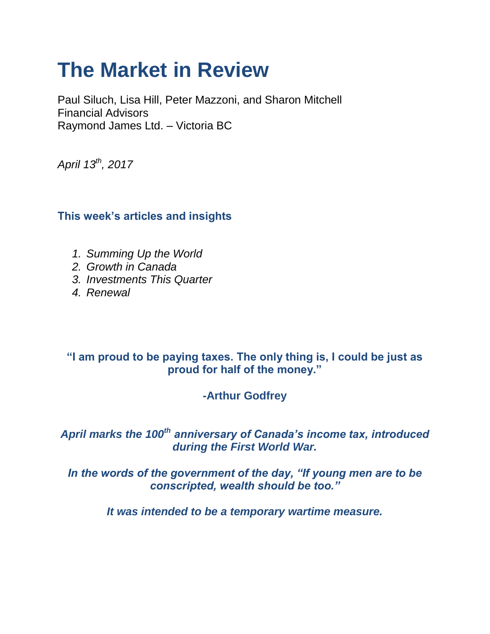# **The Market in Review**

Paul Siluch, Lisa Hill, Peter Mazzoni, and Sharon Mitchell Financial Advisors Raymond James Ltd. – Victoria BC

*April 13th, 2017*

# **This week's articles and insights**

- *1. Summing Up the World*
- *2. Growth in Canada*
- *3. Investments This Quarter*
- *4. Renewal*

## **"I am proud to be paying taxes. The only thing is, I could be just as proud for half of the money."**

# **-Arthur Godfrey**

# *April marks the 100th anniversary of Canada's income tax, introduced during the First World War.*

*In the words of the government of the day, "If young men are to be conscripted, wealth should be too."*

*It was intended to be a temporary wartime measure.*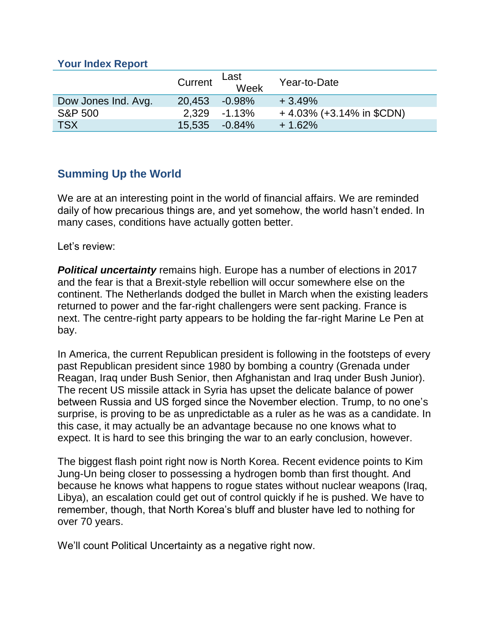#### **Your Index Report**

|                     | Current | Last<br>Week | Year-to-Date                |
|---------------------|---------|--------------|-----------------------------|
| Dow Jones Ind. Avg. | 20,453  | $-0.98\%$    | $+3.49%$                    |
| <b>S&amp;P 500</b>  |         | 2.329 -1.13% | $+4.03\%$ (+3.14% in \$CDN) |
| <b>TSX</b>          | 15,535  | $-0.84\%$    | $+1.62%$                    |

# **Summing Up the World**

We are at an interesting point in the world of financial affairs. We are reminded daily of how precarious things are, and yet somehow, the world hasn't ended. In many cases, conditions have actually gotten better.

Let's review:

*Political uncertainty* remains high. Europe has a number of elections in 2017 and the fear is that a Brexit-style rebellion will occur somewhere else on the continent. The Netherlands dodged the bullet in March when the existing leaders returned to power and the far-right challengers were sent packing. France is next. The centre-right party appears to be holding the far-right Marine Le Pen at bay.

In America, the current Republican president is following in the footsteps of every past Republican president since 1980 by bombing a country (Grenada under Reagan, Iraq under Bush Senior, then Afghanistan and Iraq under Bush Junior). The recent US missile attack in Syria has upset the delicate balance of power between Russia and US forged since the November election. Trump, to no one's surprise, is proving to be as unpredictable as a ruler as he was as a candidate. In this case, it may actually be an advantage because no one knows what to expect. It is hard to see this bringing the war to an early conclusion, however.

The biggest flash point right now is North Korea. Recent evidence points to Kim Jung-Un being closer to possessing a hydrogen bomb than first thought. And because he knows what happens to rogue states without nuclear weapons (Iraq, Libya), an escalation could get out of control quickly if he is pushed. We have to remember, though, that North Korea's bluff and bluster have led to nothing for over 70 years.

We'll count Political Uncertainty as a negative right now.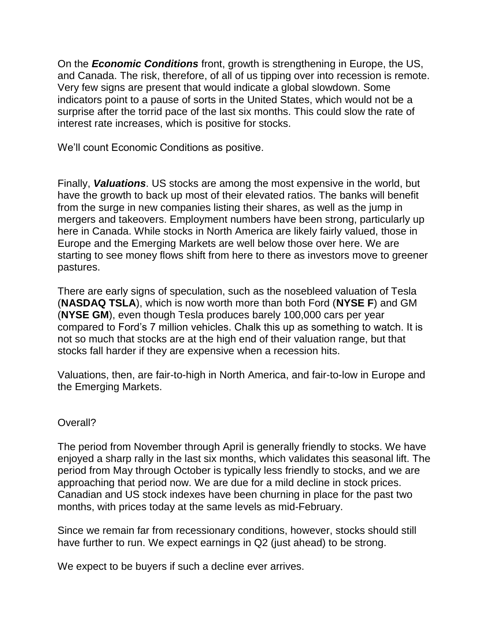On the *Economic Conditions* front, growth is strengthening in Europe, the US, and Canada. The risk, therefore, of all of us tipping over into recession is remote. Very few signs are present that would indicate a global slowdown. Some indicators point to a pause of sorts in the United States, which would not be a surprise after the torrid pace of the last six months. This could slow the rate of interest rate increases, which is positive for stocks.

We'll count Economic Conditions as positive.

Finally, *Valuations*. US stocks are among the most expensive in the world, but have the growth to back up most of their elevated ratios. The banks will benefit from the surge in new companies listing their shares, as well as the jump in mergers and takeovers. Employment numbers have been strong, particularly up here in Canada. While stocks in North America are likely fairly valued, those in Europe and the Emerging Markets are well below those over here. We are starting to see money flows shift from here to there as investors move to greener pastures.

There are early signs of speculation, such as the nosebleed valuation of Tesla (**NASDAQ TSLA**), which is now worth more than both Ford (**NYSE F**) and GM (**NYSE GM**), even though Tesla produces barely 100,000 cars per year compared to Ford's 7 million vehicles. Chalk this up as something to watch. It is not so much that stocks are at the high end of their valuation range, but that stocks fall harder if they are expensive when a recession hits.

Valuations, then, are fair-to-high in North America, and fair-to-low in Europe and the Emerging Markets.

#### Overall?

The period from November through April is generally friendly to stocks. We have enjoyed a sharp rally in the last six months, which validates this seasonal lift. The period from May through October is typically less friendly to stocks, and we are approaching that period now. We are due for a mild decline in stock prices. Canadian and US stock indexes have been churning in place for the past two months, with prices today at the same levels as mid-February.

Since we remain far from recessionary conditions, however, stocks should still have further to run. We expect earnings in Q2 (just ahead) to be strong.

We expect to be buyers if such a decline ever arrives.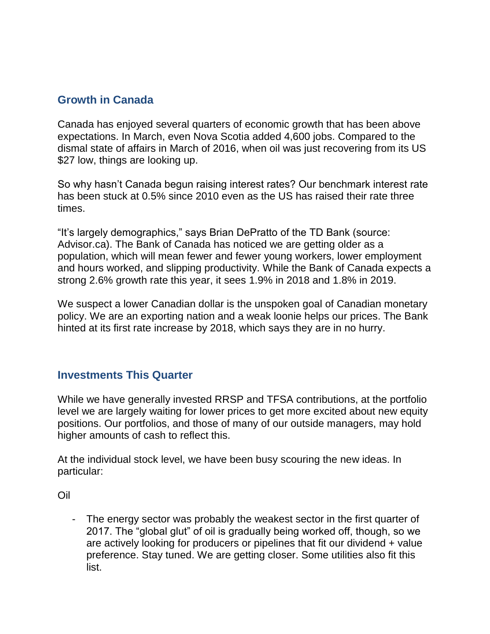## **Growth in Canada**

Canada has enjoyed several quarters of economic growth that has been above expectations. In March, even Nova Scotia added 4,600 jobs. Compared to the dismal state of affairs in March of 2016, when oil was just recovering from its US \$27 low, things are looking up.

So why hasn't Canada begun raising interest rates? Our benchmark interest rate has been stuck at 0.5% since 2010 even as the US has raised their rate three times.

"It's largely demographics," says Brian DePratto of the TD Bank (source: Advisor.ca). The Bank of Canada has noticed we are getting older as a population, which will mean fewer and fewer young workers, lower employment and hours worked, and slipping productivity. While the Bank of Canada expects a strong 2.6% growth rate this year, it sees 1.9% in 2018 and 1.8% in 2019.

We suspect a lower Canadian dollar is the unspoken goal of Canadian monetary policy. We are an exporting nation and a weak loonie helps our prices. The Bank hinted at its first rate increase by 2018, which says they are in no hurry.

### **Investments This Quarter**

While we have generally invested RRSP and TFSA contributions, at the portfolio level we are largely waiting for lower prices to get more excited about new equity positions. Our portfolios, and those of many of our outside managers, may hold higher amounts of cash to reflect this.

At the individual stock level, we have been busy scouring the new ideas. In particular:

Oil

- The energy sector was probably the weakest sector in the first quarter of 2017. The "global glut" of oil is gradually being worked off, though, so we are actively looking for producers or pipelines that fit our dividend + value preference. Stay tuned. We are getting closer. Some utilities also fit this list.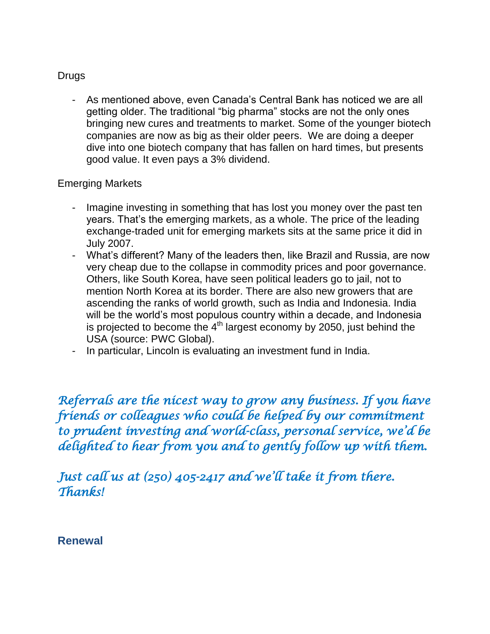#### **Drugs**

- As mentioned above, even Canada's Central Bank has noticed we are all getting older. The traditional "big pharma" stocks are not the only ones bringing new cures and treatments to market. Some of the younger biotech companies are now as big as their older peers. We are doing a deeper dive into one biotech company that has fallen on hard times, but presents good value. It even pays a 3% dividend.

#### Emerging Markets

- Imagine investing in something that has lost you money over the past ten years. That's the emerging markets, as a whole. The price of the leading exchange-traded unit for emerging markets sits at the same price it did in July 2007.
- What's different? Many of the leaders then, like Brazil and Russia, are now very cheap due to the collapse in commodity prices and poor governance. Others, like South Korea, have seen political leaders go to jail, not to mention North Korea at its border. There are also new growers that are ascending the ranks of world growth, such as India and Indonesia. India will be the world's most populous country within a decade, and Indonesia is projected to become the  $4<sup>th</sup>$  largest economy by 2050, just behind the USA (source: PWC Global).
- In particular, Lincoln is evaluating an investment fund in India.

*Referrals are the nicest way to grow any business. If you have friends or colleagues who could be helped by our commitment to prudent investing and world-class, personal service, we'd be delighted to hear from you and to gently follow up with them.* 

*Just call us at (250) 405-2417 and we'll take it from there. Thanks!* 

**Renewal**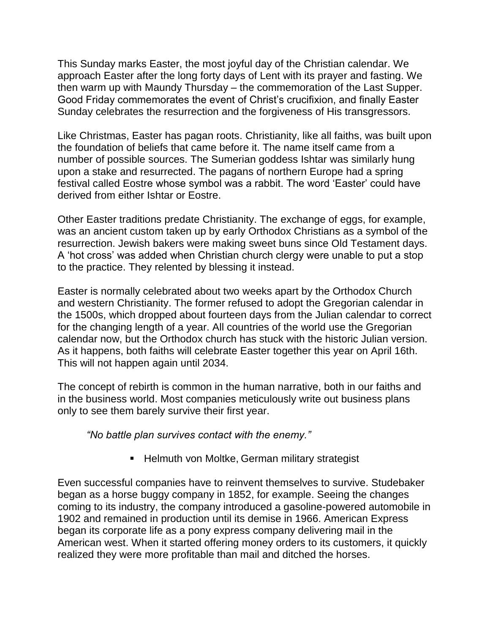This Sunday marks Easter, the most joyful day of the Christian calendar. We approach Easter after the long forty days of Lent with its prayer and fasting. We then warm up with Maundy Thursday – the commemoration of the Last Supper. Good Friday commemorates the event of Christ's crucifixion, and finally Easter Sunday celebrates the resurrection and the forgiveness of His transgressors.

Like Christmas, Easter has pagan roots. Christianity, like all faiths, was built upon the foundation of beliefs that came before it. The name itself came from a number of possible sources. The Sumerian goddess Ishtar was similarly hung upon a stake and resurrected. The pagans of northern Europe had a spring festival called Eostre whose symbol was a rabbit. The word 'Easter' could have derived from either Ishtar or Eostre.

Other Easter traditions predate Christianity. The exchange of eggs, for example, was an ancient custom taken up by early Orthodox Christians as a symbol of the resurrection. Jewish bakers were making sweet buns since Old Testament days. A 'hot cross' was added when Christian church clergy were unable to put a stop to the practice. They relented by blessing it instead.

Easter is normally celebrated about two weeks apart by the Orthodox Church and western Christianity. The former refused to adopt the Gregorian calendar in the 1500s, which dropped about fourteen days from the Julian calendar to correct for the changing length of a year. All countries of the world use the Gregorian calendar now, but the Orthodox church has stuck with the historic Julian version. As it happens, both faiths will celebrate Easter together this year on April 16th. This will not happen again until 2034.

The concept of rebirth is common in the human narrative, both in our faiths and in the business world. Most companies meticulously write out business plans only to see them barely survive their first year.

*"No battle plan survives contact with the enemy."*

**Helmuth von Moltke, German military strategist** 

Even successful companies have to reinvent themselves to survive. Studebaker began as a horse buggy company in 1852, for example. Seeing the changes coming to its industry, the company introduced a gasoline-powered automobile in 1902 and remained in production until its demise in 1966. American Express began its corporate life as a pony express company delivering mail in the American west. When it started offering money orders to its customers, it quickly realized they were more profitable than mail and ditched the horses.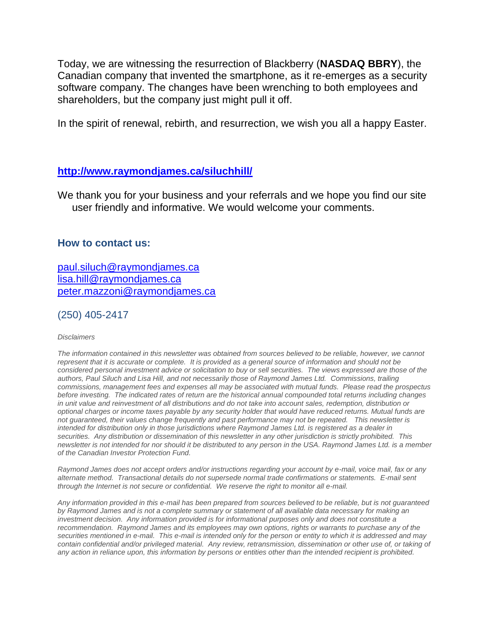Today, we are witnessing the resurrection of Blackberry (**NASDAQ BBRY**), the Canadian company that invented the smartphone, as it re-emerges as a security software company. The changes have been wrenching to both employees and shareholders, but the company just might pull it off.

In the spirit of renewal, rebirth, and resurrection, we wish you all a happy Easter.

#### **<http://www.raymondjames.ca/siluchhill/>**

We thank you for your business and your referrals and we hope you find our site user friendly and informative. We would welcome your comments.

#### **How to contact us:**

[paul.siluch@raymondjames.ca](https://owa-kel.raymondjames.ca/owa/redir.aspx?SURL=z0BxOCXDlQ-Aad1f_a9igaARxm5Rd1VXE7UcmD4mZ3IZiacj7DPTCG0AYQBpAGwAdABvADoAcABhAHUAbAAuAHMAaQBsAHUAYwBoAEAAcgBhAHkAbQBvAG4AZABqAGEAbQBlAHMALgBjAGEA&URL=mailto%3apaul.siluch%40raymondjames.ca) [lisa.hill@raymondjames.ca](https://owa-kel.raymondjames.ca/owa/redir.aspx?SURL=glaBgdTdxPMFpiw4eumg-PzZXpo9vJyObrXLs1TKtIAZiacj7DPTCG0AYQBpAGwAdABvADoAbABpAHMAYQAuAGgAaQBsAGwAQAByAGEAeQBtAG8AbgBkAGoAYQBtAGUAcwAuAGMAYQA.&URL=mailto%3alisa.hill%40raymondjames.ca) [peter.mazzoni@raymondjames.ca](https://owa-kel.raymondjames.ca/owa/redir.aspx?SURL=3c7mDL9-cZxYXt7CvkOu20QVFy1WCaDQxUZ3BQE6vecZiacj7DPTCG0AYQBpAGwAdABvADoAcABlAHQAZQByAC4AbQBhAHoAegBvAG4AaQBAAHIAYQB5AG0AbwBuAGQAagBhAG0AZQBzAC4AYwBhAA..&URL=mailto%3apeter.mazzoni%40raymondjames.ca)

(250) 405-2417

#### *Disclaimers*

*[The information contained in this newsletter was obtained from sources believed to be reliable, however, we cannot](https://owa-kel.raymondjames.ca/owa/redir.aspx?SURL=z0BxOCXDlQ-Aad1f_a9igaARxm5Rd1VXE7UcmD4mZ3IZiacj7DPTCG0AYQBpAGwAdABvADoAcABhAHUAbAAuAHMAaQBsAHUAYwBoAEAAcgBhAHkAbQBvAG4AZABqAGEAbQBlAHMALgBjAGEA&URL=mailto%3apaul.siluch%40raymondjames.ca)  represent that it is accurate or complete. [It is provided as a general source of information and should not be](https://owa-kel.raymondjames.ca/owa/redir.aspx?SURL=z0BxOCXDlQ-Aad1f_a9igaARxm5Rd1VXE7UcmD4mZ3IZiacj7DPTCG0AYQBpAGwAdABvADoAcABhAHUAbAAuAHMAaQBsAHUAYwBoAEAAcgBhAHkAbQBvAG4AZABqAGEAbQBlAHMALgBjAGEA&URL=mailto%3apaul.siluch%40raymondjames.ca)  [considered personal investment advice or solicitation to buy or sell securities.](https://owa-kel.raymondjames.ca/owa/redir.aspx?SURL=z0BxOCXDlQ-Aad1f_a9igaARxm5Rd1VXE7UcmD4mZ3IZiacj7DPTCG0AYQBpAGwAdABvADoAcABhAHUAbAAuAHMAaQBsAHUAYwBoAEAAcgBhAHkAbQBvAG4AZABqAGEAbQBlAHMALgBjAGEA&URL=mailto%3apaul.siluch%40raymondjames.ca) The views expressed are those of the [authors, Paul Siluch and Lisa Hill, and not necessarily those of Raymond James Ltd.](https://owa-kel.raymondjames.ca/owa/redir.aspx?SURL=z0BxOCXDlQ-Aad1f_a9igaARxm5Rd1VXE7UcmD4mZ3IZiacj7DPTCG0AYQBpAGwAdABvADoAcABhAHUAbAAuAHMAaQBsAHUAYwBoAEAAcgBhAHkAbQBvAG4AZABqAGEAbQBlAHMALgBjAGEA&URL=mailto%3apaul.siluch%40raymondjames.ca) Commissions, trailing [commissions, management fees and expenses all may be associated with mutual funds.](https://owa-kel.raymondjames.ca/owa/redir.aspx?SURL=z0BxOCXDlQ-Aad1f_a9igaARxm5Rd1VXE7UcmD4mZ3IZiacj7DPTCG0AYQBpAGwAdABvADoAcABhAHUAbAAuAHMAaQBsAHUAYwBoAEAAcgBhAHkAbQBvAG4AZABqAGEAbQBlAHMALgBjAGEA&URL=mailto%3apaul.siluch%40raymondjames.ca) Please read the prospectus before investing. [The indicated rates of return are the historical annual compounded total returns including changes](https://owa-kel.raymondjames.ca/owa/redir.aspx?SURL=z0BxOCXDlQ-Aad1f_a9igaARxm5Rd1VXE7UcmD4mZ3IZiacj7DPTCG0AYQBpAGwAdABvADoAcABhAHUAbAAuAHMAaQBsAHUAYwBoAEAAcgBhAHkAbQBvAG4AZABqAGEAbQBlAHMALgBjAGEA&URL=mailto%3apaul.siluch%40raymondjames.ca)  [in unit value and reinvestment of all distributions and do not take into account sales, redemption, distribution or](https://owa-kel.raymondjames.ca/owa/redir.aspx?SURL=z0BxOCXDlQ-Aad1f_a9igaARxm5Rd1VXE7UcmD4mZ3IZiacj7DPTCG0AYQBpAGwAdABvADoAcABhAHUAbAAuAHMAaQBsAHUAYwBoAEAAcgBhAHkAbQBvAG4AZABqAGEAbQBlAHMALgBjAGEA&URL=mailto%3apaul.siluch%40raymondjames.ca)  [optional charges or income taxes payable by any security holder that would have reduced returns. Mutual funds are](https://owa-kel.raymondjames.ca/owa/redir.aspx?SURL=z0BxOCXDlQ-Aad1f_a9igaARxm5Rd1VXE7UcmD4mZ3IZiacj7DPTCG0AYQBpAGwAdABvADoAcABhAHUAbAAuAHMAaQBsAHUAYwBoAEAAcgBhAHkAbQBvAG4AZABqAGEAbQBlAHMALgBjAGEA&URL=mailto%3apaul.siluch%40raymondjames.ca)  [not guaranteed, their values change frequently and past performance may not be repeated.](https://owa-kel.raymondjames.ca/owa/redir.aspx?SURL=z0BxOCXDlQ-Aad1f_a9igaARxm5Rd1VXE7UcmD4mZ3IZiacj7DPTCG0AYQBpAGwAdABvADoAcABhAHUAbAAuAHMAaQBsAHUAYwBoAEAAcgBhAHkAbQBvAG4AZABqAGEAbQBlAHMALgBjAGEA&URL=mailto%3apaul.siluch%40raymondjames.ca) This newsletter is [intended for distribution only in those jurisdictions where Raymond James Ltd. is registered as a dealer in](https://owa-kel.raymondjames.ca/owa/redir.aspx?SURL=z0BxOCXDlQ-Aad1f_a9igaARxm5Rd1VXE7UcmD4mZ3IZiacj7DPTCG0AYQBpAGwAdABvADoAcABhAHUAbAAuAHMAaQBsAHUAYwBoAEAAcgBhAHkAbQBvAG4AZABqAGEAbQBlAHMALgBjAGEA&URL=mailto%3apaul.siluch%40raymondjames.ca)  securities. [Any distribution or dissemination of this newsletter in any other jurisdiction is strictly prohibited.](https://owa-kel.raymondjames.ca/owa/redir.aspx?SURL=z0BxOCXDlQ-Aad1f_a9igaARxm5Rd1VXE7UcmD4mZ3IZiacj7DPTCG0AYQBpAGwAdABvADoAcABhAHUAbAAuAHMAaQBsAHUAYwBoAEAAcgBhAHkAbQBvAG4AZABqAGEAbQBlAHMALgBjAGEA&URL=mailto%3apaul.siluch%40raymondjames.ca) This [newsletter is not intended for nor should it be distributed to any person in the USA. Raymond James Ltd. is a member](https://owa-kel.raymondjames.ca/owa/redir.aspx?SURL=z0BxOCXDlQ-Aad1f_a9igaARxm5Rd1VXE7UcmD4mZ3IZiacj7DPTCG0AYQBpAGwAdABvADoAcABhAHUAbAAuAHMAaQBsAHUAYwBoAEAAcgBhAHkAbQBvAG4AZABqAGEAbQBlAHMALgBjAGEA&URL=mailto%3apaul.siluch%40raymondjames.ca)  [of the Canadian Investor Protection Fund.](https://owa-kel.raymondjames.ca/owa/redir.aspx?SURL=z0BxOCXDlQ-Aad1f_a9igaARxm5Rd1VXE7UcmD4mZ3IZiacj7DPTCG0AYQBpAGwAdABvADoAcABhAHUAbAAuAHMAaQBsAHUAYwBoAEAAcgBhAHkAbQBvAG4AZABqAGEAbQBlAHMALgBjAGEA&URL=mailto%3apaul.siluch%40raymondjames.ca)* 

*Raymond James [does not accept orders and/or instructions regarding your account by e-mail, voice mail, fax or any](https://owa-kel.raymondjames.ca/owa/redir.aspx?SURL=z0BxOCXDlQ-Aad1f_a9igaARxm5Rd1VXE7UcmD4mZ3IZiacj7DPTCG0AYQBpAGwAdABvADoAcABhAHUAbAAuAHMAaQBsAHUAYwBoAEAAcgBhAHkAbQBvAG4AZABqAGEAbQBlAHMALgBjAGEA&URL=mailto%3apaul.siluch%40raymondjames.ca)  alternate method. [Transactional details do not supersede normal trade confirmations or statements.](https://owa-kel.raymondjames.ca/owa/redir.aspx?SURL=z0BxOCXDlQ-Aad1f_a9igaARxm5Rd1VXE7UcmD4mZ3IZiacj7DPTCG0AYQBpAGwAdABvADoAcABhAHUAbAAuAHMAaQBsAHUAYwBoAEAAcgBhAHkAbQBvAG4AZABqAGEAbQBlAHMALgBjAGEA&URL=mailto%3apaul.siluch%40raymondjames.ca) E-mail sent [through the Internet is not secure or confidential.](https://owa-kel.raymondjames.ca/owa/redir.aspx?SURL=z0BxOCXDlQ-Aad1f_a9igaARxm5Rd1VXE7UcmD4mZ3IZiacj7DPTCG0AYQBpAGwAdABvADoAcABhAHUAbAAuAHMAaQBsAHUAYwBoAEAAcgBhAHkAbQBvAG4AZABqAGEAbQBlAHMALgBjAGEA&URL=mailto%3apaul.siluch%40raymondjames.ca) We reserve the right to monitor all e-mail.*

*[Any information provided in this e-mail has been prepared from sources believed to be reliable, but is not guaranteed](https://owa-kel.raymondjames.ca/owa/redir.aspx?SURL=z0BxOCXDlQ-Aad1f_a9igaARxm5Rd1VXE7UcmD4mZ3IZiacj7DPTCG0AYQBpAGwAdABvADoAcABhAHUAbAAuAHMAaQBsAHUAYwBoAEAAcgBhAHkAbQBvAG4AZABqAGEAbQBlAHMALgBjAGEA&URL=mailto%3apaul.siluch%40raymondjames.ca)  by Raymond James [and is not a complete summary or statement of all available data necessary for making an](https://owa-kel.raymondjames.ca/owa/redir.aspx?SURL=z0BxOCXDlQ-Aad1f_a9igaARxm5Rd1VXE7UcmD4mZ3IZiacj7DPTCG0AYQBpAGwAdABvADoAcABhAHUAbAAuAHMAaQBsAHUAYwBoAEAAcgBhAHkAbQBvAG4AZABqAGEAbQBlAHMALgBjAGEA&URL=mailto%3apaul.siluch%40raymondjames.ca)  investment decision. [Any information provided is for informational purposes only and does not constitute a](https://owa-kel.raymondjames.ca/owa/redir.aspx?SURL=z0BxOCXDlQ-Aad1f_a9igaARxm5Rd1VXE7UcmD4mZ3IZiacj7DPTCG0AYQBpAGwAdABvADoAcABhAHUAbAAuAHMAaQBsAHUAYwBoAEAAcgBhAHkAbQBvAG4AZABqAGEAbQBlAHMALgBjAGEA&URL=mailto%3apaul.siluch%40raymondjames.ca)  recommendation. Raymond James [and its employees may own options, rights or warrants to](https://owa-kel.raymondjames.ca/owa/redir.aspx?SURL=z0BxOCXDlQ-Aad1f_a9igaARxm5Rd1VXE7UcmD4mZ3IZiacj7DPTCG0AYQBpAGwAdABvADoAcABhAHUAbAAuAHMAaQBsAHUAYwBoAEAAcgBhAHkAbQBvAG4AZABqAGEAbQBlAHMALgBjAGEA&URL=mailto%3apaul.siluch%40raymondjames.ca) purchase any of the securities mentioned in e-mail. [This e-mail is intended only for the person or entity to which it is addressed and may](https://owa-kel.raymondjames.ca/owa/redir.aspx?SURL=z0BxOCXDlQ-Aad1f_a9igaARxm5Rd1VXE7UcmD4mZ3IZiacj7DPTCG0AYQBpAGwAdABvADoAcABhAHUAbAAuAHMAaQBsAHUAYwBoAEAAcgBhAHkAbQBvAG4AZABqAGEAbQBlAHMALgBjAGEA&URL=mailto%3apaul.siluch%40raymondjames.ca)  contain confidential and/or privileged material. [Any review, retransmission, dissemination or other use of, or taking of](https://owa-kel.raymondjames.ca/owa/redir.aspx?SURL=z0BxOCXDlQ-Aad1f_a9igaARxm5Rd1VXE7UcmD4mZ3IZiacj7DPTCG0AYQBpAGwAdABvADoAcABhAHUAbAAuAHMAaQBsAHUAYwBoAEAAcgBhAHkAbQBvAG4AZABqAGEAbQBlAHMALgBjAGEA&URL=mailto%3apaul.siluch%40raymondjames.ca)  [any action in reliance upon, this information by persons or entities other than the intended recipient is prohibited.](https://owa-kel.raymondjames.ca/owa/redir.aspx?SURL=z0BxOCXDlQ-Aad1f_a9igaARxm5Rd1VXE7UcmD4mZ3IZiacj7DPTCG0AYQBpAGwAdABvADoAcABhAHUAbAAuAHMAaQBsAHUAYwBoAEAAcgBhAHkAbQBvAG4AZABqAGEAbQBlAHMALgBjAGEA&URL=mailto%3apaul.siluch%40raymondjames.ca)*